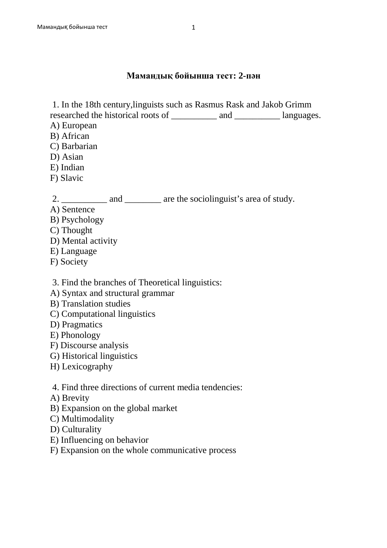## **Мамандық бойынша тест: 2-пән**

1. In the 18th century,linguists such as Rasmus Rask and Jakob Grimm

researched the historical roots of \_\_\_\_\_\_\_\_\_\_ and \_\_\_\_\_\_\_\_\_\_ languages.

- A) European
- B) African
- C) Barbarian
- D) Asian
- E) Indian
- F) Slavic

2. \_\_\_\_\_\_\_\_\_\_\_ and \_\_\_\_\_\_\_\_\_ are the sociolinguist's area of study.

- A) Sentence
- B) Psychology
- C) Thought
- D) Mental activity
- E) Language
- F) Society

3. Find the branches of Theoretical linguistics:

- A) Syntax and structural grammar
- B) Translation studies
- C) Computational linguistics
- D) Pragmatics
- E) Phonology
- F) Discourse analysis
- G) Historical linguistics
- H) Lexicography
- 4. Find three directions of current media tendencies:
- A) Brevity
- B) Expansion on the global market
- C) Multimodality
- D) Culturality
- E) Influencing on behavior
- F) Expansion on the whole communicative process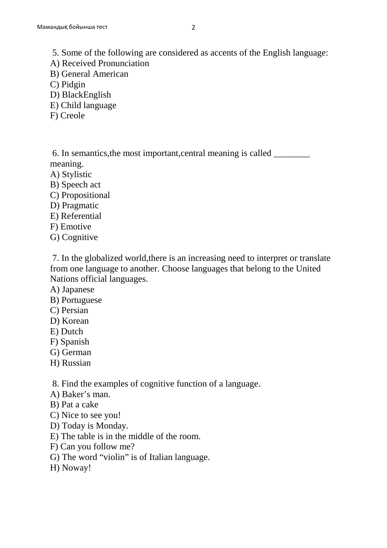5. Some of the following are considered as accents of the English language:

- A) Received Pronunciation
- B) General American
- C) Pidgin
- D) BlackEnglish
- E) Child language
- F) Creole

 6. In semantics,the most important,central meaning is called \_\_\_\_\_\_\_\_ meaning.

- A) Stylistic
- B) Speech act
- C) Propositional
- D) Pragmatic
- E) Referential
- F) Emotive
- G) Cognitive

 7. In the globalized world,there is an increasing need to interpret or translate from one language to another. Choose languages that belong to the United Nations official languages.

- A) Japanese
- B) Portuguese
- C) Persian
- D) Korean
- E) Dutch
- F) Spanish
- G) German
- H) Russian

8. Find the examples of cognitive function of a language.

- A) Baker's man.
- B) Pat a cake
- C) Nice to see you!
- D) Today is Monday.
- E) The table is in the middle of the room.
- F) Can you follow me?
- G) The word "violin" is of Italian language.
- H) Noway!